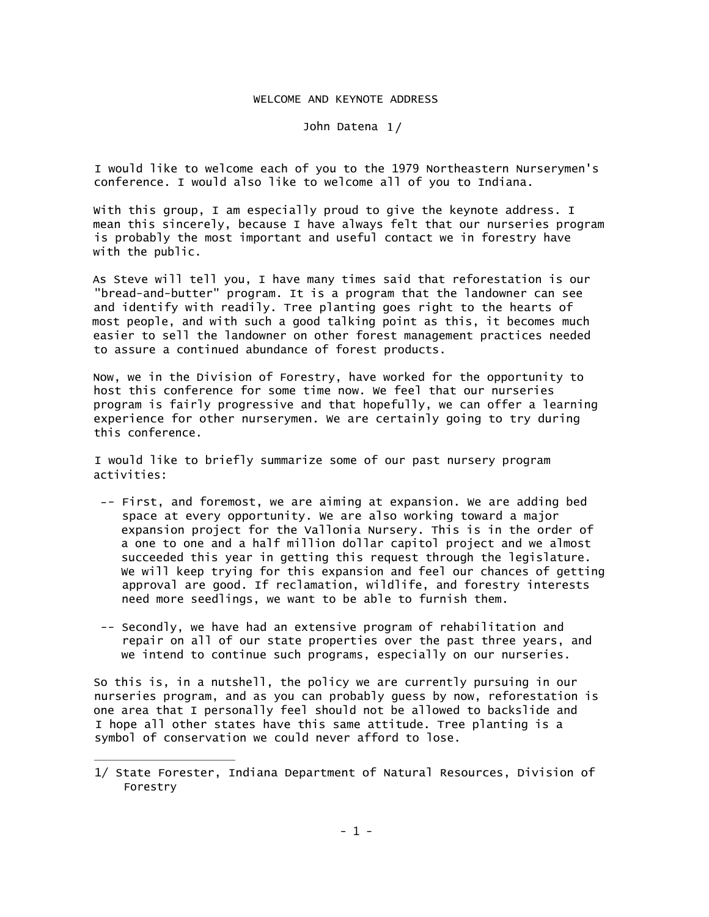## WELCOME AND KEYNOTE ADDRESS

## John Datena 1/

I would like to welcome each of you to the 1979 Northeastern Nurserymen's conference. I would also like to welcome all of you to Indiana.

With this group, I am especially proud to give the keynote address. I mean this sincerely, because I have always felt that our nurseries program is probably the most important and useful contact we in forestry have with the public.

As Steve will tell you, I have many times said that reforestation is our "bread-and-butter" program. It is a program that the landowner can see and identify with readily. Tree planting goes right to the hearts of most people, and with such a good talking point as this, it becomes much easier to sell the landowner on other forest management practices needed to assure a continued abundance of forest products.

Now, we in the Division of Forestry, have worked for the opportunity to host this conference for some time now. We feel that our nurseries program is fairly progressive and that hopefully, we can offer a learning experience for other nurserymen. We are certainly going to try during this conference.

I would like to briefly summarize some of our past nursery program activities:

- -- First, and foremost, we are aiming at expansion. We are adding bed space at every opportunity. We are also working toward a major expansion project for the Vallonia Nursery. This is in the order of a one to one and a half million dollar capitol project and we almost succeeded this year in getting this request through the legislature. We will keep trying for this expansion and feel our chances of getting approval are good. If reclamation, wildlife, and forestry interests need more seedlings, we want to be able to furnish them.
- -- Secondly, we have had an extensive program of rehabilitation and repair on all of our state properties over the past three years, and we intend to continue such programs, especially on our nurseries.

So this is, in a nutshell, the policy we are currently pursuing in our nurseries program, and as you can probably guess by now, reforestation is one area that I personally feel should not be allowed to backslide and I hope all other states have this same attitude. Tree planting is a symbol of conservation we could never afford to lose.

<sup>1/</sup> State Forester, Indiana Department of Natural Resources, Division of Forestry